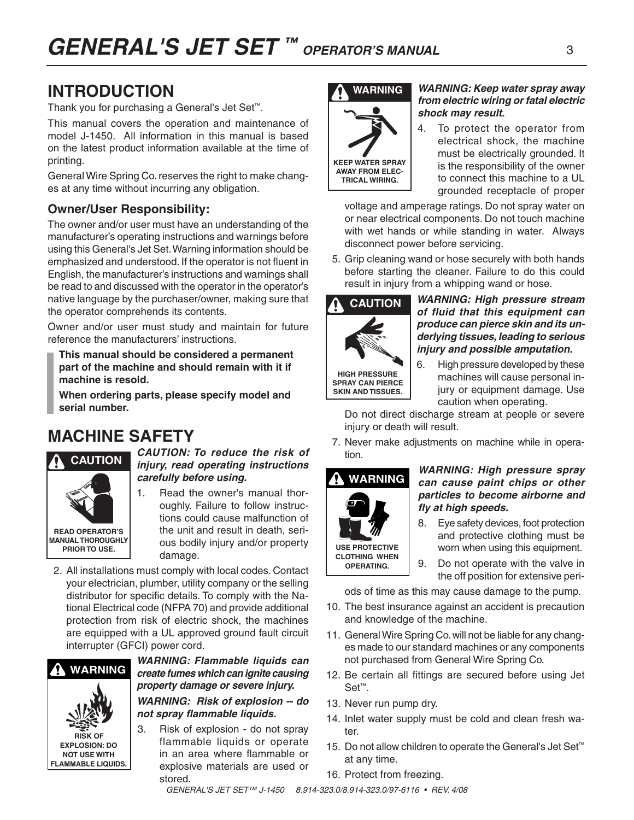# **INTRODUCTION**

Thank you for purchasing a General's Jet Set™.

This manual covers the operation and maintenance of model J-1450. All information in this manual is based on the latest product information available at the time of printing.

General Wire Spring Co. reserves the right to make changes at any time without incurring any obligation.

### **Owner/User Responsibility:**

The owner and/or user must have an understanding of the manufacturer's operating instructions and warnings before using this General's Jet Set. Warning information should be emphasized and understood. If the operator is not fluent in English, the manufacturer's instructions and warnings shall be read to and discussed with the operator in the operator's native language by the purchaser/owner, making sure that the operator comprehends its contents.

Owner and/or user must study and maintain for future reference the manufacturers' instructions.

**This manual should be considered a permanent part of the machine and should remain with it if machine is resold.**

**When ordering parts, please specify model and serial number.**

# **MACHINE SAFETY**



#### *CAUTION: To reduce the risk of injury, read operating instructions carefully before using.*

- 1. Read the owner's manual thoroughly. Failure to follow instructions could cause malfunction of the unit and result in death, serious bodily injury and/or property damage.
- 2. All installations must comply with local codes. Contact your electrician, plumber, utility company or the selling distributor for specific details. To comply with the National Electrical code (NFPA 70) and provide additional protection from risk of electric shock, the machines are equipped with a UL approved ground fault circuit interrupter (GFCI) power cord.





3. Risk of explosion - do not spray flammable liquids or operate in an area where flammable or explosive materials are used or stored.



#### *WARNING: Keep water spray away from electric wiring or fatal electric shock may result.*

4. To protect the operator from electrical shock, the machine must be electrically grounded. It is the responsibility of the owner to connect this machine to a UL grounded receptacle of proper

 voltage and amperage ratings. Do not spray water on or near electrical components. Do not touch machine with wet hands or while standing in water. Always disconnect power before servicing.

5. Grip cleaning wand or hose securely with both hands before starting the cleaner. Failure to do this could result in injury from a whipping wand or hose.



#### *WARNING: High pressure stream of fluid that this equipment can produce can pierce skin and its underlying tissues, leading to serious injury and possible amputation.*

6. High pressure developed by these machines will cause personal injury or equipment damage. Use caution when operating.

 Do not direct discharge stream at people or severe injury or death will result.

7. Never make adjustments on machine while in operation.

# **WARNING**

**use protective clothing when operating.**

#### *WARNING: High pressure spray can cause paint chips or other particles to become airborne and fly at high speeds.*

- 8. Eye safety devices, foot protection and protective clothing must be worn when using this equipment.
- 9. Do not operate with the valve in the off position for extensive peri-

ods of time as this may cause damage to the pump.

- 10. The best insurance against an accident is precaution and knowledge of the machine.
- 11. General Wire Spring Co. will not be liable for any changes made to our standard machines or any components not purchased from General Wire Spring Co.
- 12. Be certain all fittings are secured before using Jet Set™.
- 13. Never run pump dry.
- 14. Inlet water supply must be cold and clean fresh water.
- 15. Do not allow children to operate the General's Jet Set™ at any time.
- 16. Protect from freezing.

*General's Jet Set™ J-1450 8.914-323.0/8.914-323.0/97-6116 • REV. 4/08*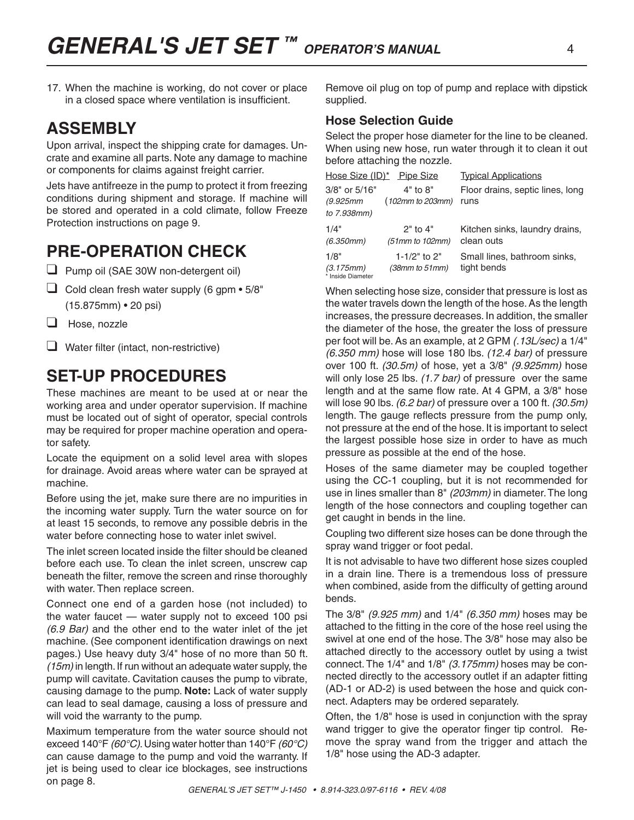17. When the machine is working, do not cover or place in a closed space where ventilation is insufficient.

### **ASSEMBLY**

Upon arrival, inspect the shipping crate for damages. Uncrate and examine all parts. Note any damage to machine or components for claims against freight carrier.

Jets have antifreeze in the pump to protect it from freezing conditions during shipment and storage. If machine will be stored and operated in a cold climate, follow Freeze Protection instructions on page 9.

# **PRE-OPERATION CHECK**

- ❑ Pump oil (SAE 30W non-detergent oil)
- $\Box$  Cold clean fresh water supply (6 gpm  $\bullet$  5/8" (15.875mm) • 20 psi)
- ❑ Hose, nozzle
- ❑ Water filter (intact, non-restrictive)

## **set-up procedures**

These machines are meant to be used at or near the working area and under operator supervision. If machine must be located out of sight of operator, special controls may be required for proper machine operation and operator safety.

Locate the equipment on a solid level area with slopes for drainage. Avoid areas where water can be sprayed at machine.

Before using the jet, make sure there are no impurities in the incoming water supply. Turn the water source on for at least 15 seconds, to remove any possible debris in the water before connecting hose to water inlet swivel.

The inlet screen located inside the filter should be cleaned before each use. To clean the inlet screen, unscrew cap beneath the filter, remove the screen and rinse thoroughly with water. Then replace screen.

Connect one end of a garden hose (not included) to the water faucet — water supply not to exceed 100 psi *(6.9 Bar)* and the other end to the water inlet of the jet machine. (See component identification drawings on next pages.) Use heavy duty 3/4" hose of no more than 50 ft. *(15m)* in length. If run without an adequate water supply, the pump will cavitate. Cavitation causes the pump to vibrate, causing damage to the pump. **Note:** Lack of water supply can lead to seal damage, causing a loss of pressure and will void the warranty to the pump.

Maximum temperature from the water source should not exceed 140°F *(60°C)*. Using water hotter than 140°F *(60°C)*  can cause damage to the pump and void the warranty. If jet is being used to clear ice blockages, see instructions on page 8.

Remove oil plug on top of pump and replace with dipstick supplied.

#### **Hose Selection Guide**

Select the proper hose diameter for the line to be cleaned. When using new hose, run water through it to clean it out before attaching the nozzle.

|                                        | Hose Size (ID)* Pipe Size         | <b>Typical Applications</b>                  |
|----------------------------------------|-----------------------------------|----------------------------------------------|
| $3/8"$ or $5/16"$<br>(9.925mm          | $4"$ to $8"$<br>(102mm to 203mm)  | Floor drains, septic lines, long<br>runs     |
| to 7.938mm)                            |                                   |                                              |
| 1/4"<br>(6.350mm)                      | $2"$ to $4"$<br>$(51mm to 102mm)$ | Kitchen sinks, laundry drains,<br>clean outs |
| 1/8"<br>(3.175mm)<br>* Inside Diameter | 1-1/2" to $2"$<br>(38mm to 51mm)  | Small lines, bathroom sinks,<br>tight bends  |

When selecting hose size, consider that pressure is lost as the water travels down the length of the hose. As the length increases, the pressure decreases. In addition, the smaller the diameter of the hose, the greater the loss of pressure per foot will be. As an example, at 2 GPM *(.13L/sec)* a 1/4" *(6.350 mm)* hose will lose 180 lbs. *(12.4 bar)* of pressure over 100 ft. *(30.5m)* of hose, yet a 3/8" *(9.925mm)* hose will only lose 25 lbs. *(1.7 bar)* of pressure over the same length and at the same flow rate. At 4 GPM, a 3/8" hose will lose 90 lbs. *(6.2 bar)* of pressure over a 100 ft. *(30.5m)* length. The gauge reflects pressure from the pump only, not pressure at the end of the hose. It is important to select the largest possible hose size in order to have as much pressure as possible at the end of the hose.

Hoses of the same diameter may be coupled together using the CC-1 coupling, but it is not recommended for use in lines smaller than 8" *(203mm)* in diameter. The long length of the hose connectors and coupling together can get caught in bends in the line.

Coupling two different size hoses can be done through the spray wand trigger or foot pedal.

It is not advisable to have two different hose sizes coupled in a drain line. There is a tremendous loss of pressure when combined, aside from the difficulty of getting around bends.

The 3/8" *(9.925 mm)* and 1/4" *(6.350 mm)* hoses may be attached to the fitting in the core of the hose reel using the swivel at one end of the hose. The 3/8" hose may also be attached directly to the accessory outlet by using a twist connect. The 1/4" and 1/8" *(3.175mm)* hoses may be connected directly to the accessory outlet if an adapter fitting (AD-1 or AD-2) is used between the hose and quick connect. Adapters may be ordered separately.

Often, the 1/8" hose is used in conjunction with the spray wand trigger to give the operator finger tip control. Remove the spray wand from the trigger and attach the 1/8" hose using the AD-3 adapter.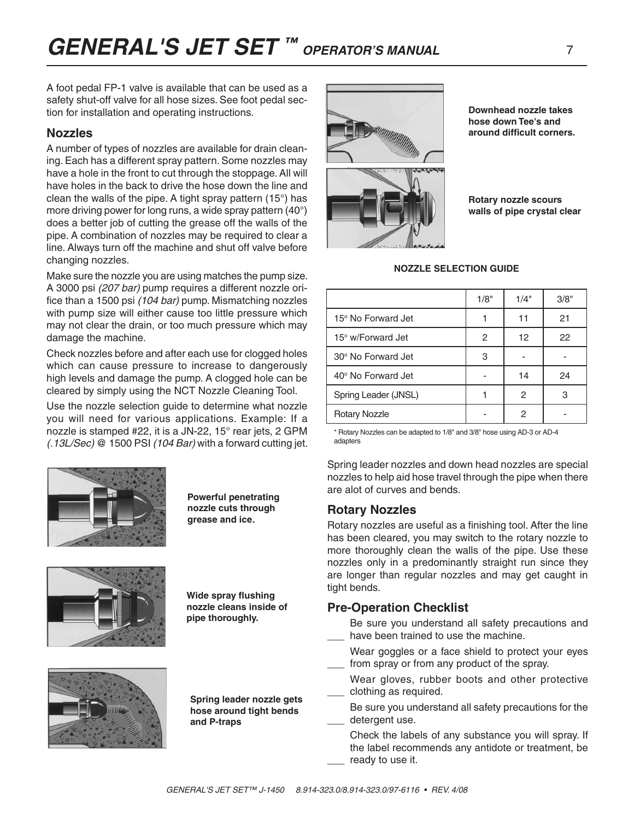### **Nozzles**

A number of types of nozzles are available for drain cleaning. Each has a different spray pattern. Some nozzles may have a hole in the front to cut through the stoppage. All will have holes in the back to drive the hose down the line and clean the walls of the pipe. A tight spray pattern (15°) has more driving power for long runs, a wide spray pattern (40°) does a better job of cutting the grease off the walls of the pipe. A combination of nozzles may be required to clear a line. Always turn off the machine and shut off valve before changing nozzles.

Make sure the nozzle you are using matches the pump size. A 3000 psi *(207 bar)* pump requires a different nozzle orifice than a 1500 psi *(104 bar)* pump. Mismatching nozzles with pump size will either cause too little pressure which may not clear the drain, or too much pressure which may damage the machine.

Check nozzles before and after each use for clogged holes which can cause pressure to increase to dangerously high levels and damage the pump. A clogged hole can be cleared by simply using the NCT Nozzle Cleaning Tool.

Use the nozzle selection guide to determine what nozzle you will need for various applications. Example: If a nozzle is stamped #22, it is a JN-22, 15° rear jets, 2 GPM *(.13L/Sec)* @ 1500 PSI *(104 Bar)* with a forward cutting jet.



**Powerful penetrating nozzle cuts through grease and ice.**



**Wide spray flushing nozzle cleans inside of pipe thoroughly.**



**Spring leader nozzle gets hose around tight bends and P-traps**